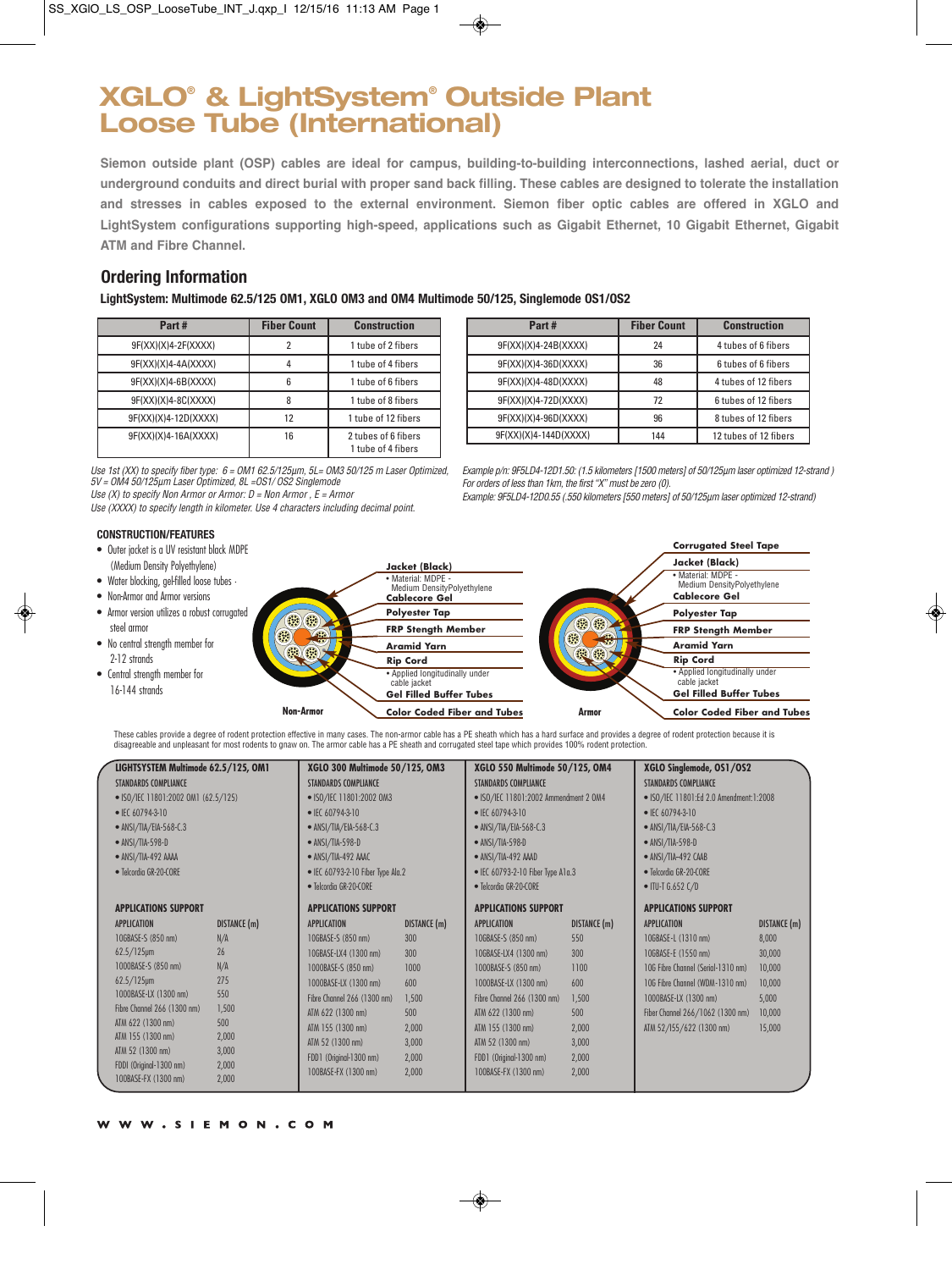# **XGLO® & LightSystem® Outside Plant Loose Tube (International)**

**Siemon outside plant (OSP) cables are ideal for campus, building-to-building interconnections, lashed aerial, duct or underground conduits and direct burial with proper sand back filling. These cables are designed to tolerate the installation and stresses in cables exposed to the external environment. Siemon fiber optic cables are offered in XGLO and LightSystem configurations supporting high-speed, applications such as Gigabit Ethernet, 10 Gigabit Ethernet, Gigabit ATM and Fibre Channel.**

#### **Ordering Information**

**LightSystem: Multimode 62.5/125 OM1, XGLO OM3 and OM4 Multimode 50/125, Singlemode OS1/OS2**

| Part#                 | <b>Fiber Count</b> | <b>Construction</b>                       |
|-----------------------|--------------------|-------------------------------------------|
| $9F(XX)(X)4-2F(XXXX)$ |                    | 1 tube of 2 fibers                        |
| 9F(XX)(X)4-4A(XXXX)   |                    | 1 tube of 4 fibers                        |
| $9F(XX)(X)4-6B(XXXX)$ |                    | 1 tube of 6 fibers                        |
| $9F(XX)(X)4-8C(XXXX)$ |                    | 1 tube of 8 fibers                        |
| 9F(XX)(X)4-12D(XXXX)  | 12                 | 1 tube of 12 fibers                       |
| 9F(XX)(X)4-16A(XXXX)  | 16                 | 2 tubes of 6 fibers<br>1 tube of 4 fibers |

| Part#                 | <b>Fiber Count</b> | <b>Construction</b>   |
|-----------------------|--------------------|-----------------------|
| 9F(XX)(X)4-24B(XXXX)  | 24                 | 4 tubes of 6 fibers   |
| 9F(XX)(X)4-36D(XXXX)  | 36                 | 6 tubes of 6 fibers   |
| 9F(XX)(X)4-48D(XXXX)  | 48                 | 4 tubes of 12 fibers  |
| 9F(XX)(X)4-72D(XXXX)  | 72                 | 6 tubes of 12 fibers  |
| 9F(XX)(X)4-96D(XXXX)  | 96                 | 8 tubes of 12 fibers  |
| 9F(XX)(X)4-144D(XXXX) | 144                | 12 tubes of 12 fibers |

Use 1st (XX) to specify fiber type: 6 = OM1 62.5/125µm, 5L= OM3 50/125 m Laser Optimized, 5V = OM4 50/125µm Laser Optimized, 8L =OS1/ OS2 Singlemode

Use  $(X)$  to specify Non Armor or Armor:  $D =$  Non Armor,  $E =$  Armor

Use (XXXX) to specify length in kilometer. Use 4 characters including decimal point.

### **CONSTRUCTION/FEATURES**

- Outer jacket is a UV resistant black MDPE
- 
- Non-Armor and Armor versions
- Armor version utilizes a robust corrugated steel armor
- No central strength member for 2-12 strands
- Central strength member for 16-144 strands

| Example p/n: 9F5LD4-12D1.50: (1.5 kilometers [1500 meters] of 50/125um laser optimized 12-strand) |
|---------------------------------------------------------------------------------------------------|
| For orders of less than 1km, the first "X" must be zero (0).                                      |

Example: 9F5LD4-12D0.55 (.550 kilometers [550 meters] of 50/125µm laser optimized 12-strand)



These cables provide a degree of rodent protection effective in many cases. The non-armor cable has a PE sheath which has a hard surface and provides a degree of rodent protection because it is<br>disagreeable and unpleasant

| LIGHTSYSTEM Multimode 62.5/125, OM1             |                | XGLO 300 Multimode 50/125, OM3            |              | XGLO 550 Multimode 50/125, OM4            |              | XGLO Singlemode, OS1/OS2                |              |
|-------------------------------------------------|----------------|-------------------------------------------|--------------|-------------------------------------------|--------------|-----------------------------------------|--------------|
| <b>STANDARDS COMPLIANCE</b>                     |                | <b>STANDARDS COMPLIANCE</b>               |              | <b>STANDARDS COMPLIANCE</b>               |              | <b>STANDARDS COMPLIANCE</b>             |              |
| • ISO/IEC 11801:2002 OM1 (62.5/125)             |                | • ISO/IEC 11801:2002 OM3                  |              | • ISO/IEC 11801:2002 Ammendment 2 0M4     |              | • ISO/IEC 11801:Ed 2.0 Amendment:1:2008 |              |
| $\bullet$ IEC 60794-3-10                        |                | $\bullet$ IEC 60794-3-10                  |              | $\bullet$ IEC 60794-3-10                  |              | $\bullet$ IEC 60794-3-10                |              |
| • ANSI/TIA/EIA-568-C.3                          |                | • ANSI/TIA/EIA-568-C.3                    |              | • ANSI/TIA/EIA-568-C.3                    |              | • ANSI/TIA/EIA-568-C.3                  |              |
| $\bullet$ ANSI/TIA-598-D                        |                | • ANSI/TIA-598-D                          |              | • ANSI/TIA-598-D                          |              | • ANSI/TIA-598-D                        |              |
| $\bullet$ ANSI/TIA-492 AAAA                     |                | • ANSI/TIA-492 AAAC                       |              | $\bullet$ ANSI/TIA-492 AAAD               |              | $\bullet$ ANSI/TIA-492 CAAB             |              |
| • Telcordia GR-20-CORE                          |                | $\bullet$ IEC 60793-2-10 Fiber Type Ala.2 |              | $\bullet$ IEC 60793-2-10 Fiber Type A1a.3 |              | • Telcordia GR-20-CORE                  |              |
|                                                 |                | • Telcordia GR-20-CORE                    |              | • Telcordia GR-20-CORE                    |              | $\bullet$ ITU-T G.652 C/D               |              |
| <b>APPLICATIONS SUPPORT</b>                     |                | <b>APPLICATIONS SUPPORT</b>               |              | <b>APPLICATIONS SUPPORT</b>               |              | <b>APPLICATIONS SUPPORT</b>             |              |
| <b>APPLICATION</b>                              | DISTANCE (m)   | <b>APPLICATION</b>                        | DISTANCE (m) | <b>APPLICATION</b>                        | DISTANCE (m) | <b>APPLICATION</b>                      | DISTANCE (m) |
| 10GBASE-S (850 nm)                              | N/A            | 10GBASE-S (850 nm)                        | 300          | 10GBASE-S (850 nm)                        | 550          | 10GBASE-L (1310 nm)                     | 8,000        |
| $62.5/125$ µm                                   | 26             | 10GBASE-LX4 (1300 nm)                     | 300          | 10GBASE-LX4 (1300 nm)                     | 300          | 10GBASE-E (1550 nm)                     | 30,000       |
| 1000BASE-S (850 nm)                             | N/A            | 1000BASE-S (850 nm)                       | 1000         | 1000BASE-S (850 nm)                       | 1100         | 10G Fibre Channel (Serial-1310 nm)      | 10,000       |
| $62.5/125$ µm                                   | 275            | 1000BASE-LX (1300 nm)                     | 600          | 1000BASE-LX (1300 nm)                     | 600          | 10G Fibre Channel (WDM-1310 nm)         | 10,000       |
| 1000BASE-LX (1300 nm)                           | 550            | Fibre Channel 266 (1300 nm)               | 1,500        | Fibre Channel 266 (1300 nm)               | 1,500        | 1000BASE-LX (1300 nm)                   | 5,000        |
| Fibre Channel 266 (1300 nm)                     | 1,500          | ATM 622 (1300 nm)                         | 500          | ATM 622 (1300 nm)                         | 500          | Fiber Channel 266/1062 (1300 nm)        | 10,000       |
| ATM 622 (1300 nm)                               | 500            | ATM 155 (1300 nm)                         | 2,000        | ATM 155 (1300 nm)                         | 2,000        | ATM 52/155/622 (1300 nm)                | 15,000       |
| ATM 155 (1300 nm)                               | 2,000          | ATM 52 (1300 nm)                          | 3,000        | ATM 52 (1300 nm)                          | 3,000        |                                         |              |
| ATM 52 (1300 nm)                                | 3,000          | FDD1 (Original-1300 nm)                   | 2,000        | FDD1 (Original-1300 nm)                   | 2,000        |                                         |              |
| FDDI (Original-1300 nm)<br>100BASE-FX (1300 nm) | 2,000<br>2,000 | 100BASE-FX (1300 nm)                      | 2,000        | 100BASE-FX (1300 nm)                      | 2,000        |                                         |              |
|                                                 |                |                                           |              |                                           |              |                                         |              |